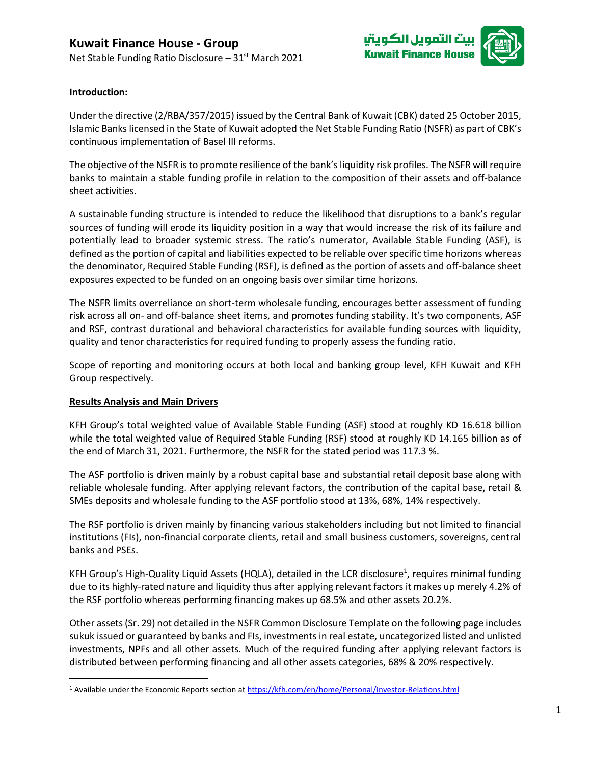

## **Introduction:**

Under the directive (2/RBA/357/2015) issued by the Central Bank of Kuwait (CBK) dated 25 October 2015, Islamic Banks licensed in the State of Kuwait adopted the Net Stable Funding Ratio (NSFR) as part of CBK's continuous implementation of Basel III reforms.

The objective of the NSFR is to promote resilience of the bank's liquidity risk profiles. The NSFR will require banks to maintain a stable funding profile in relation to the composition of their assets and off-balance sheet activities.

A sustainable funding structure is intended to reduce the likelihood that disruptions to a bank's regular sources of funding will erode its liquidity position in a way that would increase the risk of its failure and potentially lead to broader systemic stress. The ratio's numerator, Available Stable Funding (ASF), is defined as the portion of capital and liabilities expected to be reliable over specific time horizons whereas the denominator, Required Stable Funding (RSF), is defined as the portion of assets and off-balance sheet exposures expected to be funded on an ongoing basis over similar time horizons.

The NSFR limits overreliance on short-term wholesale funding, encourages better assessment of funding risk across all on- and off-balance sheet items, and promotes funding stability. It's two components, ASF and RSF, contrast durational and behavioral characteristics for available funding sources with liquidity, quality and tenor characteristics for required funding to properly assess the funding ratio.

Scope of reporting and monitoring occurs at both local and banking group level, KFH Kuwait and KFH Group respectively.

## **Results Analysis and Main Drivers**

KFH Group's total weighted value of Available Stable Funding (ASF) stood at roughly KD 16.618 billion while the total weighted value of Required Stable Funding (RSF) stood at roughly KD 14.165 billion as of the end of March 31, 2021. Furthermore, the NSFR for the stated period was 117.3 %.

The ASF portfolio is driven mainly by a robust capital base and substantial retail deposit base along with reliable wholesale funding. After applying relevant factors, the contribution of the capital base, retail & SMEs deposits and wholesale funding to the ASF portfolio stood at 13%, 68%, 14% respectively.

The RSF portfolio is driven mainly by financing various stakeholders including but not limited to financial institutions (FIs), non-financial corporate clients, retail and small business customers, sovereigns, central banks and PSEs.

KFH Group's High-Quality Liquid Assets (HQLA), detailed in the LCR disclosure<sup>1</sup>, requires minimal funding due to its highly-rated nature and liquidity thus after applying relevant factors it makes up merely 4.2% of the RSF portfolio whereas performing financing makes up 68.5% and other assets 20.2%.

Other assets (Sr. 29) not detailed in the NSFR Common Disclosure Template on the following page includes sukuk issued or guaranteed by banks and FIs, investments in real estate, uncategorized listed and unlisted investments, NPFs and all other assets. Much of the required funding after applying relevant factors is distributed between performing financing and all other assets categories, 68% & 20% respectively.

<sup>&</sup>lt;sup>1</sup> Available under the Economic Reports section a[t https://kfh.com/en/home/Personal/Investor-Relations.html](https://kfh.com/en/home/Personal/Investor-Relations.html)